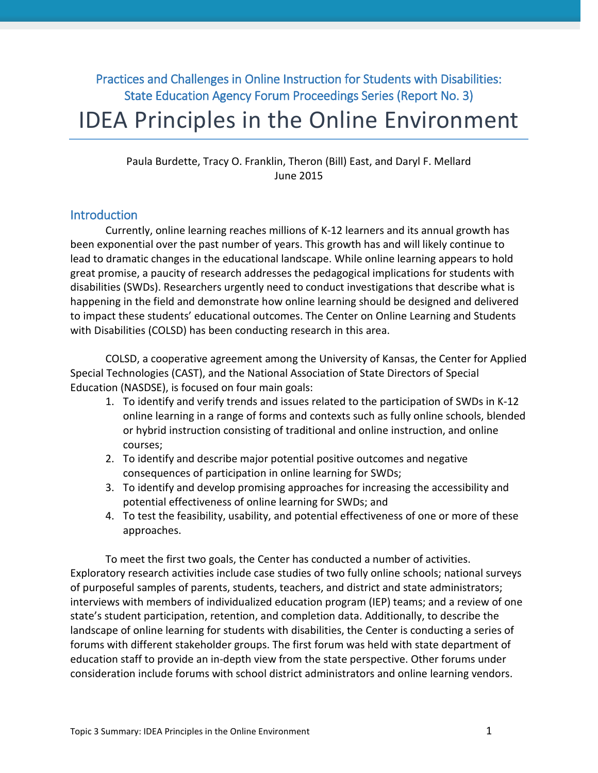# Practices and Challenges in Online Instruction for Students with Disabilities: State Education Agency Forum Proceedings Series (Report No. 3) IDEA Principles in the Online Environment

Paula Burdette, Tracy O. Franklin, Theron (Bill) East, and Daryl F. Mellard June 2015

# **Introduction**

Currently, online learning reaches millions of K-12 learners and its annual growth has been exponential over the past number of years. This growth has and will likely continue to lead to dramatic changes in the educational landscape. While online learning appears to hold great promise, a paucity of research addresses the pedagogical implications for students with disabilities (SWDs). Researchers urgently need to conduct investigations that describe what is happening in the field and demonstrate how online learning should be designed and delivered to impact these students' educational outcomes. The Center on Online Learning and Students with Disabilities (COLSD) has been conducting research in this area.

COLSD, a cooperative agreement among the University of Kansas, the Center for Applied Special Technologies (CAST), and the National Association of State Directors of Special Education (NASDSE), is focused on four main goals:

- 1. To identify and verify trends and issues related to the participation of SWDs in K-12 online learning in a range of forms and contexts such as fully online schools, blended or hybrid instruction consisting of traditional and online instruction, and online courses;
- 2. To identify and describe major potential positive outcomes and negative consequences of participation in online learning for SWDs;
- 3. To identify and develop promising approaches for increasing the accessibility and potential effectiveness of online learning for SWDs; and
- 4. To test the feasibility, usability, and potential effectiveness of one or more of these approaches.

To meet the first two goals, the Center has conducted a number of activities. Exploratory research activities include case studies of two fully online schools; national surveys of purposeful samples of parents, students, teachers, and district and state administrators; interviews with members of individualized education program (IEP) teams; and a review of one state's student participation, retention, and completion data. Additionally, to describe the landscape of online learning for students with disabilities, the Center is conducting a series of forums with different stakeholder groups. The first forum was held with state department of education staff to provide an in-depth view from the state perspective. Other forums under consideration include forums with school district administrators and online learning vendors.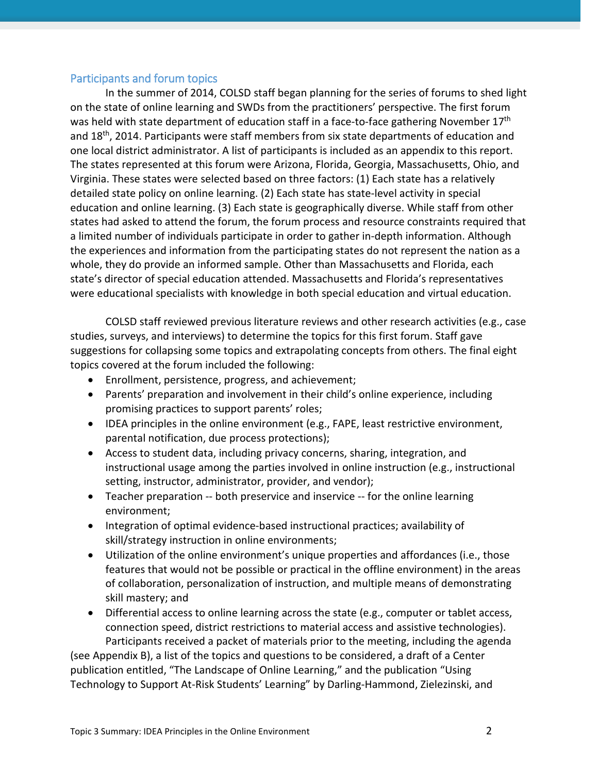### Participants and forum topics

In the summer of 2014, COLSD staff began planning for the series of forums to shed light on the state of online learning and SWDs from the practitioners' perspective. The first forum was held with state department of education staff in a face-to-face gathering November 17<sup>th</sup> and 18th, 2014. Participants were staff members from six state departments of education and one local district administrator. A list of participants is included as an appendix to this report. The states represented at this forum were Arizona, Florida, Georgia, Massachusetts, Ohio, and Virginia. These states were selected based on three factors: (1) Each state has a relatively detailed state policy on online learning. (2) Each state has state-level activity in special education and online learning. (3) Each state is geographically diverse. While staff from other states had asked to attend the forum, the forum process and resource constraints required that a limited number of individuals participate in order to gather in-depth information. Although the experiences and information from the participating states do not represent the nation as a whole, they do provide an informed sample. Other than Massachusetts and Florida, each state's director of special education attended. Massachusetts and Florida's representatives were educational specialists with knowledge in both special education and virtual education.

COLSD staff reviewed previous literature reviews and other research activities (e.g., case studies, surveys, and interviews) to determine the topics for this first forum. Staff gave suggestions for collapsing some topics and extrapolating concepts from others. The final eight topics covered at the forum included the following:

- Enrollment, persistence, progress, and achievement;
- Parents' preparation and involvement in their child's online experience, including promising practices to support parents' roles;
- IDEA principles in the online environment (e.g., FAPE, least restrictive environment, parental notification, due process protections);
- Access to student data, including privacy concerns, sharing, integration, and instructional usage among the parties involved in online instruction (e.g., instructional setting, instructor, administrator, provider, and vendor);
- Teacher preparation -- both preservice and inservice -- for the online learning environment;
- Integration of optimal evidence-based instructional practices; availability of skill/strategy instruction in online environments;
- Utilization of the online environment's unique properties and affordances (i.e., those features that would not be possible or practical in the offline environment) in the areas of collaboration, personalization of instruction, and multiple means of demonstrating skill mastery; and
- Differential access to online learning across the state (e.g., computer or tablet access, connection speed, district restrictions to material access and assistive technologies). Participants received a packet of materials prior to the meeting, including the agenda

(see Appendix B), a list of the topics and questions to be considered, a draft of a Center publication entitled, "The Landscape of Online Learning," and the publication "Using Technology to Support At-Risk Students' Learning" by Darling-Hammond, Zielezinski, and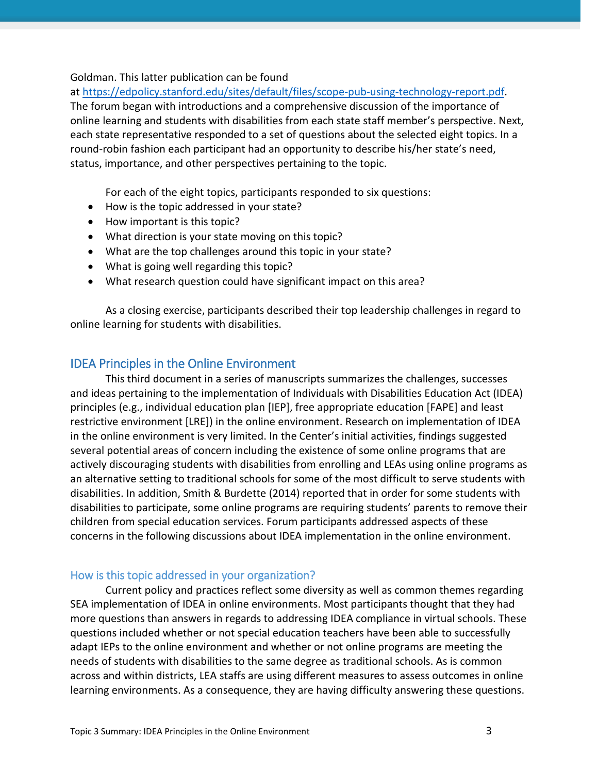#### Goldman. This latter publication can be found

at [https://edpolicy.stanford.edu/sites/default/files/scope-pub-using-technology-report.pdf.](https://edpolicy.stanford.edu/sites/default/files/scope-pub-using-technology-report.pdf) The forum began with introductions and a comprehensive discussion of the importance of online learning and students with disabilities from each state staff member's perspective. Next, each state representative responded to a set of questions about the selected eight topics. In a round-robin fashion each participant had an opportunity to describe his/her state's need, status, importance, and other perspectives pertaining to the topic.

For each of the eight topics, participants responded to six questions:

- How is the topic addressed in your state?
- How important is this topic?
- What direction is your state moving on this topic?
- What are the top challenges around this topic in your state?
- What is going well regarding this topic?
- What research question could have significant impact on this area?

As a closing exercise, participants described their top leadership challenges in regard to online learning for students with disabilities.

# IDEA Principles in the Online Environment

This third document in a series of manuscripts summarizes the challenges, successes and ideas pertaining to the implementation of Individuals with Disabilities Education Act (IDEA) principles (e.g., individual education plan [IEP], free appropriate education [FAPE] and least restrictive environment [LRE]) in the online environment. Research on implementation of IDEA in the online environment is very limited. In the Center's initial activities, findings suggested several potential areas of concern including the existence of some online programs that are actively discouraging students with disabilities from enrolling and LEAs using online programs as an alternative setting to traditional schools for some of the most difficult to serve students with disabilities. In addition, Smith & Burdette (2014) reported that in order for some students with disabilities to participate, some online programs are requiring students' parents to remove their children from special education services. Forum participants addressed aspects of these concerns in the following discussions about IDEA implementation in the online environment.

# How is this topic addressed in your organization?

Current policy and practices reflect some diversity as well as common themes regarding SEA implementation of IDEA in online environments. Most participants thought that they had more questions than answers in regards to addressing IDEA compliance in virtual schools. These questions included whether or not special education teachers have been able to successfully adapt IEPs to the online environment and whether or not online programs are meeting the needs of students with disabilities to the same degree as traditional schools. As is common across and within districts, LEA staffs are using different measures to assess outcomes in online learning environments. As a consequence, they are having difficulty answering these questions.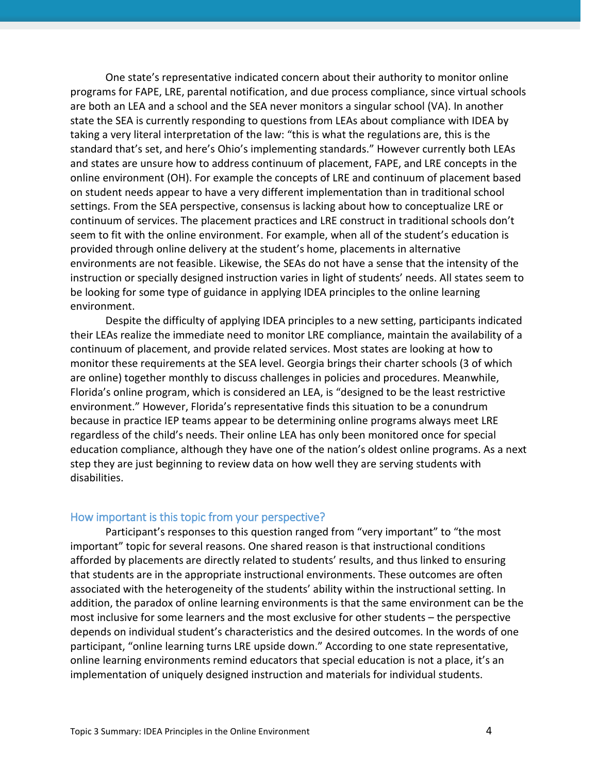One state's representative indicated concern about their authority to monitor online programs for FAPE, LRE, parental notification, and due process compliance, since virtual schools are both an LEA and a school and the SEA never monitors a singular school (VA). In another state the SEA is currently responding to questions from LEAs about compliance with IDEA by taking a very literal interpretation of the law: "this is what the regulations are, this is the standard that's set, and here's Ohio's implementing standards." However currently both LEAs and states are unsure how to address continuum of placement, FAPE, and LRE concepts in the online environment (OH). For example the concepts of LRE and continuum of placement based on student needs appear to have a very different implementation than in traditional school settings. From the SEA perspective, consensus is lacking about how to conceptualize LRE or continuum of services. The placement practices and LRE construct in traditional schools don't seem to fit with the online environment. For example, when all of the student's education is provided through online delivery at the student's home, placements in alternative environments are not feasible. Likewise, the SEAs do not have a sense that the intensity of the instruction or specially designed instruction varies in light of students' needs. All states seem to be looking for some type of guidance in applying IDEA principles to the online learning environment.

Despite the difficulty of applying IDEA principles to a new setting, participants indicated their LEAs realize the immediate need to monitor LRE compliance, maintain the availability of a continuum of placement, and provide related services. Most states are looking at how to monitor these requirements at the SEA level. Georgia brings their charter schools (3 of which are online) together monthly to discuss challenges in policies and procedures. Meanwhile, Florida's online program, which is considered an LEA, is "designed to be the least restrictive environment." However, Florida's representative finds this situation to be a conundrum because in practice IEP teams appear to be determining online programs always meet LRE regardless of the child's needs. Their online LEA has only been monitored once for special education compliance, although they have one of the nation's oldest online programs. As a next step they are just beginning to review data on how well they are serving students with disabilities.

#### How important is this topic from your perspective?

Participant's responses to this question ranged from "very important" to "the most important" topic for several reasons. One shared reason is that instructional conditions afforded by placements are directly related to students' results, and thus linked to ensuring that students are in the appropriate instructional environments. These outcomes are often associated with the heterogeneity of the students' ability within the instructional setting. In addition, the paradox of online learning environments is that the same environment can be the most inclusive for some learners and the most exclusive for other students – the perspective depends on individual student's characteristics and the desired outcomes. In the words of one participant, "online learning turns LRE upside down." According to one state representative, online learning environments remind educators that special education is not a place, it's an implementation of uniquely designed instruction and materials for individual students.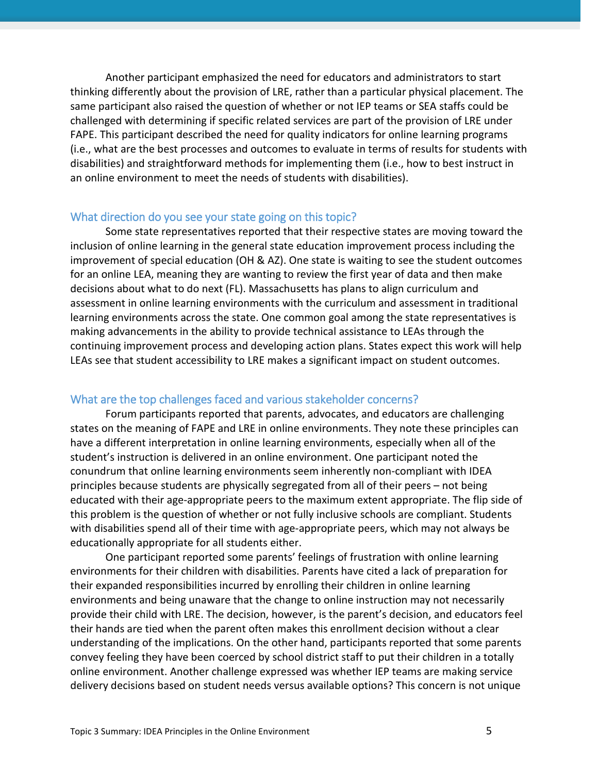Another participant emphasized the need for educators and administrators to start thinking differently about the provision of LRE, rather than a particular physical placement. The same participant also raised the question of whether or not IEP teams or SEA staffs could be challenged with determining if specific related services are part of the provision of LRE under FAPE. This participant described the need for quality indicators for online learning programs (i.e., what are the best processes and outcomes to evaluate in terms of results for students with disabilities) and straightforward methods for implementing them (i.e., how to best instruct in an online environment to meet the needs of students with disabilities).

#### What direction do you see your state going on this topic?

Some state representatives reported that their respective states are moving toward the inclusion of online learning in the general state education improvement process including the improvement of special education (OH & AZ). One state is waiting to see the student outcomes for an online LEA, meaning they are wanting to review the first year of data and then make decisions about what to do next (FL). Massachusetts has plans to align curriculum and assessment in online learning environments with the curriculum and assessment in traditional learning environments across the state. One common goal among the state representatives is making advancements in the ability to provide technical assistance to LEAs through the continuing improvement process and developing action plans. States expect this work will help LEAs see that student accessibility to LRE makes a significant impact on student outcomes.

### What are the top challenges faced and various stakeholder concerns?

Forum participants reported that parents, advocates, and educators are challenging states on the meaning of FAPE and LRE in online environments. They note these principles can have a different interpretation in online learning environments, especially when all of the student's instruction is delivered in an online environment. One participant noted the conundrum that online learning environments seem inherently non-compliant with IDEA principles because students are physically segregated from all of their peers – not being educated with their age-appropriate peers to the maximum extent appropriate. The flip side of this problem is the question of whether or not fully inclusive schools are compliant. Students with disabilities spend all of their time with age-appropriate peers, which may not always be educationally appropriate for all students either.

One participant reported some parents' feelings of frustration with online learning environments for their children with disabilities. Parents have cited a lack of preparation for their expanded responsibilities incurred by enrolling their children in online learning environments and being unaware that the change to online instruction may not necessarily provide their child with LRE. The decision, however, is the parent's decision, and educators feel their hands are tied when the parent often makes this enrollment decision without a clear understanding of the implications. On the other hand, participants reported that some parents convey feeling they have been coerced by school district staff to put their children in a totally online environment. Another challenge expressed was whether IEP teams are making service delivery decisions based on student needs versus available options? This concern is not unique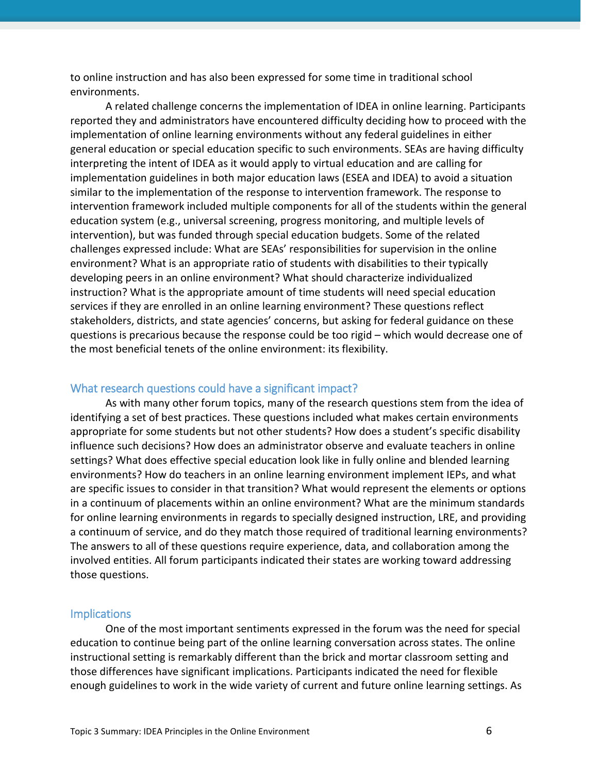to online instruction and has also been expressed for some time in traditional school environments.

A related challenge concerns the implementation of IDEA in online learning. Participants reported they and administrators have encountered difficulty deciding how to proceed with the implementation of online learning environments without any federal guidelines in either general education or special education specific to such environments. SEAs are having difficulty interpreting the intent of IDEA as it would apply to virtual education and are calling for implementation guidelines in both major education laws (ESEA and IDEA) to avoid a situation similar to the implementation of the response to intervention framework. The response to intervention framework included multiple components for all of the students within the general education system (e.g., universal screening, progress monitoring, and multiple levels of intervention), but was funded through special education budgets. Some of the related challenges expressed include: What are SEAs' responsibilities for supervision in the online environment? What is an appropriate ratio of students with disabilities to their typically developing peers in an online environment? What should characterize individualized instruction? What is the appropriate amount of time students will need special education services if they are enrolled in an online learning environment? These questions reflect stakeholders, districts, and state agencies' concerns, but asking for federal guidance on these questions is precarious because the response could be too rigid – which would decrease one of the most beneficial tenets of the online environment: its flexibility.

#### What research questions could have a significant impact?

As with many other forum topics, many of the research questions stem from the idea of identifying a set of best practices. These questions included what makes certain environments appropriate for some students but not other students? How does a student's specific disability influence such decisions? How does an administrator observe and evaluate teachers in online settings? What does effective special education look like in fully online and blended learning environments? How do teachers in an online learning environment implement IEPs, and what are specific issues to consider in that transition? What would represent the elements or options in a continuum of placements within an online environment? What are the minimum standards for online learning environments in regards to specially designed instruction, LRE, and providing a continuum of service, and do they match those required of traditional learning environments? The answers to all of these questions require experience, data, and collaboration among the involved entities. All forum participants indicated their states are working toward addressing those questions.

#### **Implications**

One of the most important sentiments expressed in the forum was the need for special education to continue being part of the online learning conversation across states. The online instructional setting is remarkably different than the brick and mortar classroom setting and those differences have significant implications. Participants indicated the need for flexible enough guidelines to work in the wide variety of current and future online learning settings. As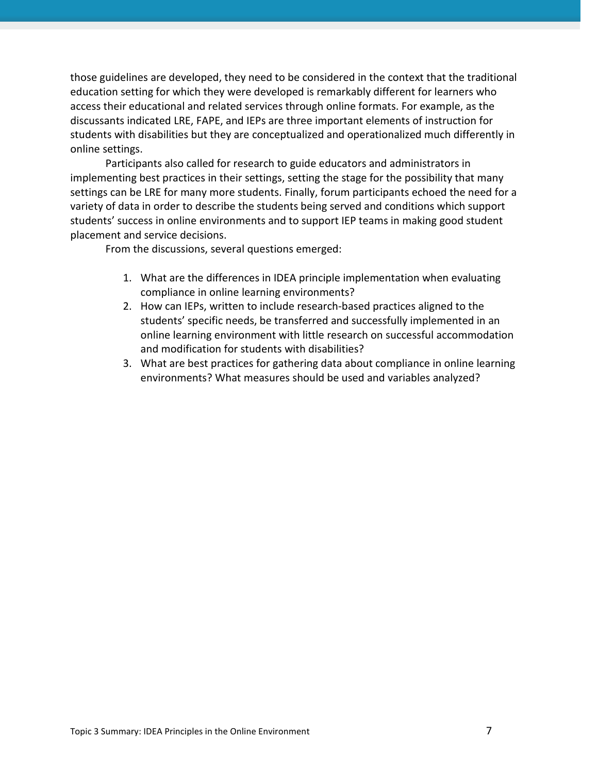those guidelines are developed, they need to be considered in the context that the traditional education setting for which they were developed is remarkably different for learners who access their educational and related services through online formats. For example, as the discussants indicated LRE, FAPE, and IEPs are three important elements of instruction for students with disabilities but they are conceptualized and operationalized much differently in online settings.

Participants also called for research to guide educators and administrators in implementing best practices in their settings, setting the stage for the possibility that many settings can be LRE for many more students. Finally, forum participants echoed the need for a variety of data in order to describe the students being served and conditions which support students' success in online environments and to support IEP teams in making good student placement and service decisions.

From the discussions, several questions emerged:

- 1. What are the differences in IDEA principle implementation when evaluating compliance in online learning environments?
- 2. How can IEPs, written to include research-based practices aligned to the students' specific needs, be transferred and successfully implemented in an online learning environment with little research on successful accommodation and modification for students with disabilities?
- 3. What are best practices for gathering data about compliance in online learning environments? What measures should be used and variables analyzed?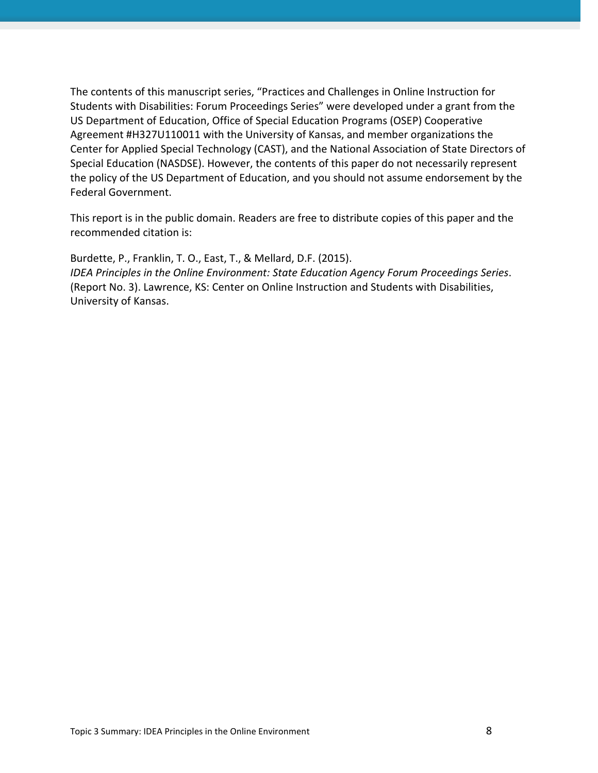The contents of this manuscript series, "Practices and Challenges in Online Instruction for Students with Disabilities: Forum Proceedings Series" were developed under a grant from the US Department of Education, Office of Special Education Programs (OSEP) Cooperative Agreement #H327U110011 with the University of Kansas, and member organizations the Center for Applied Special Technology (CAST), and the National Association of State Directors of Special Education (NASDSE). However, the contents of this paper do not necessarily represent the policy of the US Department of Education, and you should not assume endorsement by the Federal Government.

This report is in the public domain. Readers are free to distribute copies of this paper and the recommended citation is:

Burdette, P., Franklin, T. O., East, T., & Mellard, D.F. (2015). *IDEA Principles in the Online Environment: State Education Agency Forum Proceedings Series*. (Report No. 3). Lawrence, KS: Center on Online Instruction and Students with Disabilities, University of Kansas.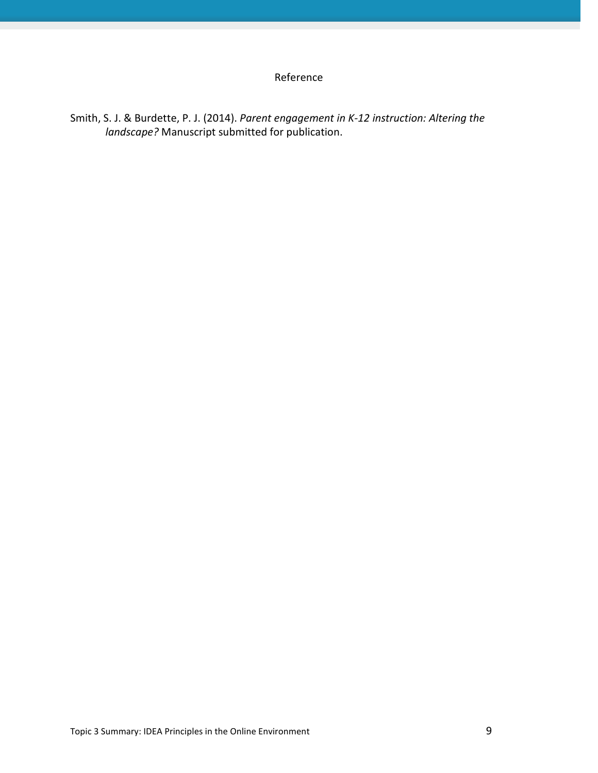# Reference

Smith, S. J. & Burdette, P. J. (2014). *Parent engagement in K-12 instruction: Altering the landscape?* Manuscript submitted for publication.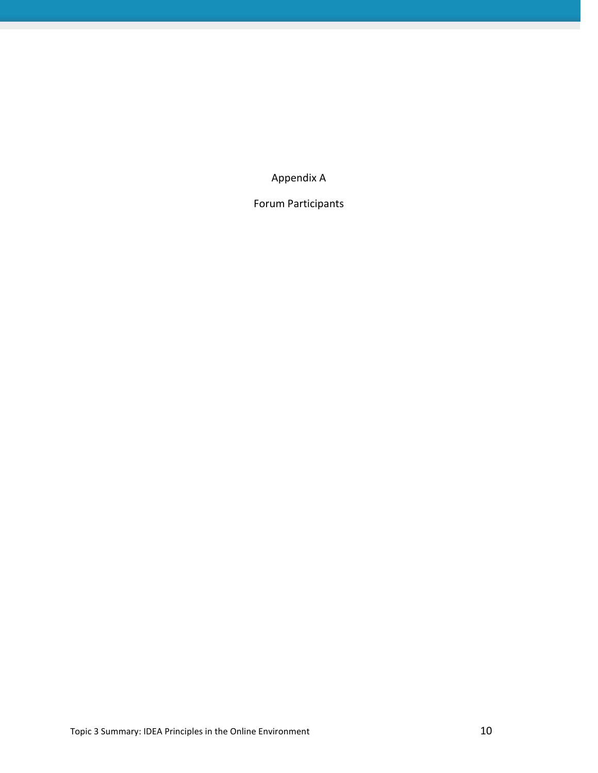Appendix A

Forum Participants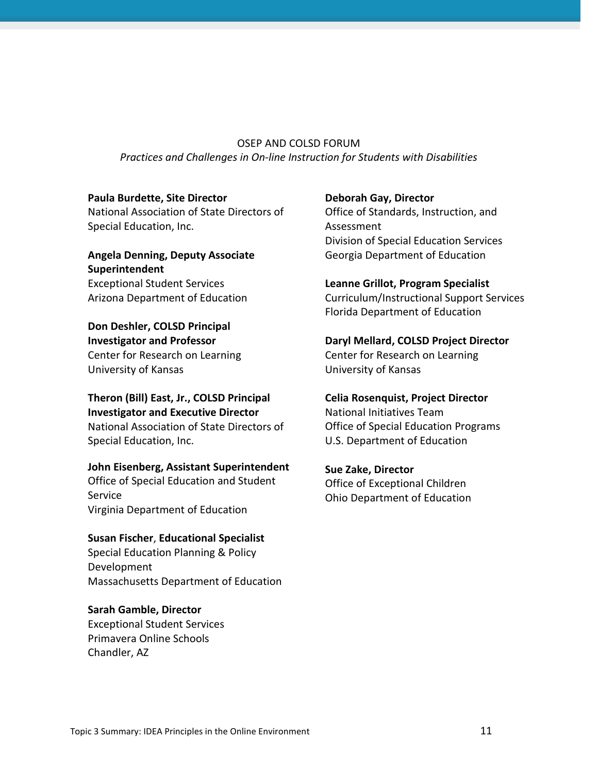OSEP AND COLSD FORUM *Practices and Challenges in On-line Instruction for Students with Disabilities*

#### **Paula Burdette, Site Director**

National Association of State Directors of Special Education, Inc.

### **Angela Denning, Deputy Associate Superintendent** Exceptional Student Services Arizona Department of Education

**Don Deshler, COLSD Principal Investigator and Professor** Center for Research on Learning University of Kansas

**Theron (Bill) East, Jr., COLSD Principal Investigator and Executive Director** National Association of State Directors of Special Education, Inc.

#### **John Eisenberg, Assistant Superintendent**

Office of Special Education and Student Service Virginia Department of Education

### **Susan Fischer**, **Educational Specialist**  Special Education Planning & Policy Development

Massachusetts Department of Education

# **Sarah Gamble, Director**

Exceptional Student Services Primavera Online Schools Chandler, AZ

### **Deborah Gay, Director**

Office of Standards, Instruction, and Assessment Division of Special Education Services Georgia Department of Education

#### **Leanne Grillot, Program Specialist**

Curriculum/Instructional Support Services Florida Department of Education

# **Daryl Mellard, COLSD Project Director** Center for Research on Learning University of Kansas

**Celia Rosenquist, Project Director** National Initiatives Team Office of Special Education Programs

U.S. Department of Education

**Sue Zake, Director** Office of Exceptional Children Ohio Department of Education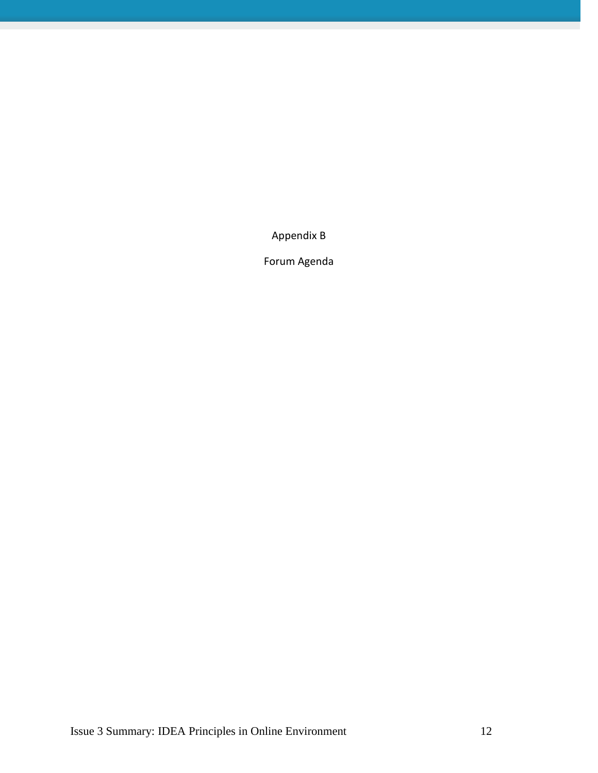Appendix B

Forum Agenda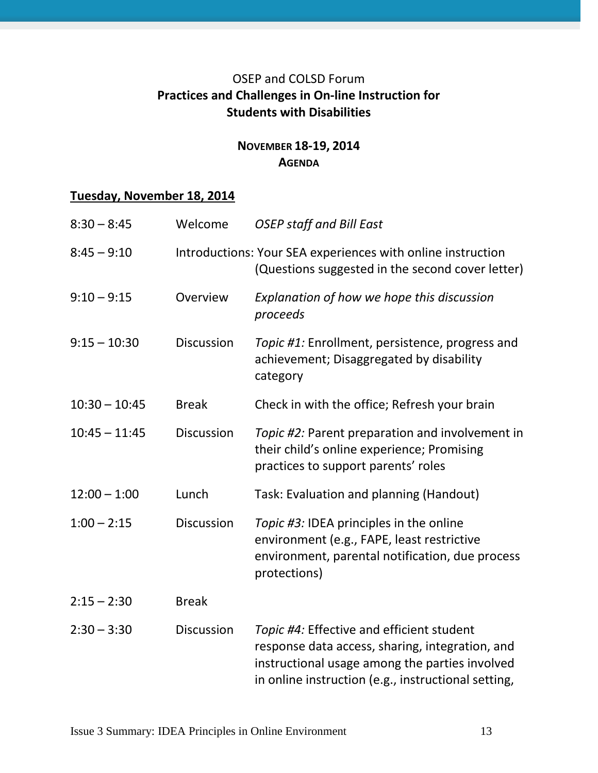# OSEP and COLSD Forum **Practices and Challenges in On-line Instruction for Students with Disabilities**

# **NOVEMBER 18-19, 2014 AGENDA**

# **Tuesday, November 18, 2014**

| $8:30 - 8:45$   | Welcome           | <b>OSEP staff and Bill East</b>                                                                                                                                                                       |
|-----------------|-------------------|-------------------------------------------------------------------------------------------------------------------------------------------------------------------------------------------------------|
| $8:45 - 9:10$   |                   | Introductions: Your SEA experiences with online instruction<br>(Questions suggested in the second cover letter)                                                                                       |
| $9:10 - 9:15$   | Overview          | Explanation of how we hope this discussion<br>proceeds                                                                                                                                                |
| $9:15 - 10:30$  | <b>Discussion</b> | Topic #1: Enrollment, persistence, progress and<br>achievement; Disaggregated by disability<br>category                                                                                               |
| $10:30 - 10:45$ | <b>Break</b>      | Check in with the office; Refresh your brain                                                                                                                                                          |
| $10:45 - 11:45$ | <b>Discussion</b> | Topic #2: Parent preparation and involvement in<br>their child's online experience; Promising<br>practices to support parents' roles                                                                  |
| $12:00 - 1:00$  | Lunch             | Task: Evaluation and planning (Handout)                                                                                                                                                               |
| $1:00 - 2:15$   | <b>Discussion</b> | Topic #3: IDEA principles in the online<br>environment (e.g., FAPE, least restrictive<br>environment, parental notification, due process<br>protections)                                              |
| $2:15 - 2:30$   | <b>Break</b>      |                                                                                                                                                                                                       |
| $2:30 - 3:30$   | <b>Discussion</b> | Topic #4: Effective and efficient student<br>response data access, sharing, integration, and<br>instructional usage among the parties involved<br>in online instruction (e.g., instructional setting, |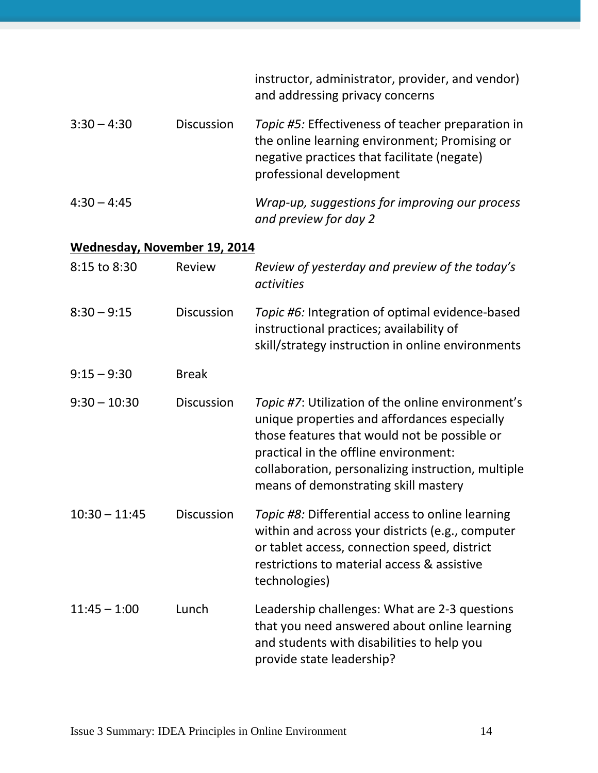|                              |                   | instructor, administrator, provider, and vendor)<br>and addressing privacy concerns                                                                                                                                                                                                      |
|------------------------------|-------------------|------------------------------------------------------------------------------------------------------------------------------------------------------------------------------------------------------------------------------------------------------------------------------------------|
| $3:30 - 4:30$                | <b>Discussion</b> | Topic #5: Effectiveness of teacher preparation in<br>the online learning environment; Promising or<br>negative practices that facilitate (negate)<br>professional development                                                                                                            |
| $4:30 - 4:45$                |                   | Wrap-up, suggestions for improving our process<br>and preview for day 2                                                                                                                                                                                                                  |
| Wednesday, November 19, 2014 |                   |                                                                                                                                                                                                                                                                                          |
| 8:15 to 8:30                 | Review            | Review of yesterday and preview of the today's<br>activities                                                                                                                                                                                                                             |
| $8:30 - 9:15$                | <b>Discussion</b> | Topic #6: Integration of optimal evidence-based<br>instructional practices; availability of<br>skill/strategy instruction in online environments                                                                                                                                         |
| $9:15 - 9:30$                | <b>Break</b>      |                                                                                                                                                                                                                                                                                          |
| $9:30 - 10:30$               | <b>Discussion</b> | Topic #7: Utilization of the online environment's<br>unique properties and affordances especially<br>those features that would not be possible or<br>practical in the offline environment:<br>collaboration, personalizing instruction, multiple<br>means of demonstrating skill mastery |
| $10:30 - 11:45$              | <b>Discussion</b> | Topic #8: Differential access to online learning<br>within and across your districts (e.g., computer<br>or tablet access, connection speed, district<br>restrictions to material access & assistive<br>technologies)                                                                     |
| $11:45 - 1:00$               | Lunch             | Leadership challenges: What are 2-3 questions<br>that you need answered about online learning<br>and students with disabilities to help you<br>provide state leadership?                                                                                                                 |